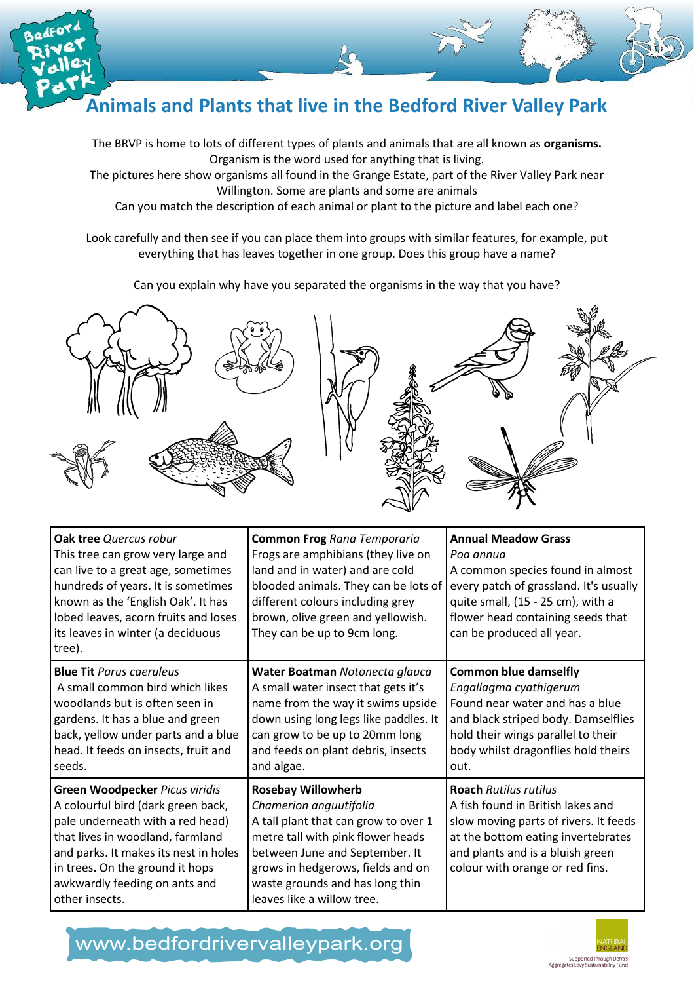

## Animals and Plants that live in the Bedford River Valley Park

The BRVP is home to lots of different types of plants and animals that are all known as organisms. Organism is the word used for anything that is living.

The pictures here show organisms all found in the Grange Estate, part of the River Valley Park near Willington. Some are plants and some are animals

Can you match the description of each animal or plant to the picture and label each one?

Look carefully and then see if you can place them into groups with similar features, for example, put everything that has leaves together in one group. Does this group have a name?

Can you explain why have you separated the organisms in the way that you have?



| Oak tree Quercus robur<br>This tree can grow very large and<br>can live to a great age, sometimes<br>hundreds of years. It is sometimes<br>known as the 'English Oak'. It has<br>lobed leaves, acorn fruits and loses<br>its leaves in winter (a deciduous<br>tree).        | <b>Common Frog Rana Temporaria</b><br>Frogs are amphibians (they live on<br>land and in water) and are cold<br>blooded animals. They can be lots of<br>different colours including grey<br>brown, olive green and yellowish.<br>They can be up to 9cm long.              | <b>Annual Meadow Grass</b><br>Poa annua<br>A common species found in almost<br>every patch of grassland. It's usually<br>quite small, (15 - 25 cm), with a<br>flower head containing seeds that<br>can be produced all year. |
|-----------------------------------------------------------------------------------------------------------------------------------------------------------------------------------------------------------------------------------------------------------------------------|--------------------------------------------------------------------------------------------------------------------------------------------------------------------------------------------------------------------------------------------------------------------------|------------------------------------------------------------------------------------------------------------------------------------------------------------------------------------------------------------------------------|
| <b>Blue Tit Parus caeruleus</b><br>A small common bird which likes<br>woodlands but is often seen in<br>gardens. It has a blue and green<br>back, yellow under parts and a blue<br>head. It feeds on insects, fruit and<br>seeds.                                           | Water Boatman Notonecta glauca<br>A small water insect that gets it's<br>name from the way it swims upside<br>down using long legs like paddles. It<br>can grow to be up to 20mm long<br>and feeds on plant debris, insects<br>and algae.                                | <b>Common blue damselfly</b><br>Engallagma cyathigerum<br>Found near water and has a blue<br>and black striped body. Damselflies<br>hold their wings parallel to their<br>body whilst dragonflies hold theirs<br>out.        |
| Green Woodpecker Picus viridis<br>A colourful bird (dark green back,<br>pale underneath with a red head)<br>that lives in woodland, farmland<br>and parks. It makes its nest in holes<br>in trees. On the ground it hops<br>awkwardly feeding on ants and<br>other insects. | <b>Rosebay Willowherb</b><br>Chamerion anguutifolia<br>A tall plant that can grow to over 1<br>metre tall with pink flower heads<br>between June and September. It<br>grows in hedgerows, fields and on<br>waste grounds and has long thin<br>leaves like a willow tree. | Roach Rutilus rutilus<br>A fish found in British lakes and<br>slow moving parts of rivers. It feeds<br>at the bottom eating invertebrates<br>and plants and is a bluish green<br>colour with orange or red fins.             |

www.bedfordrivervalleypark.org

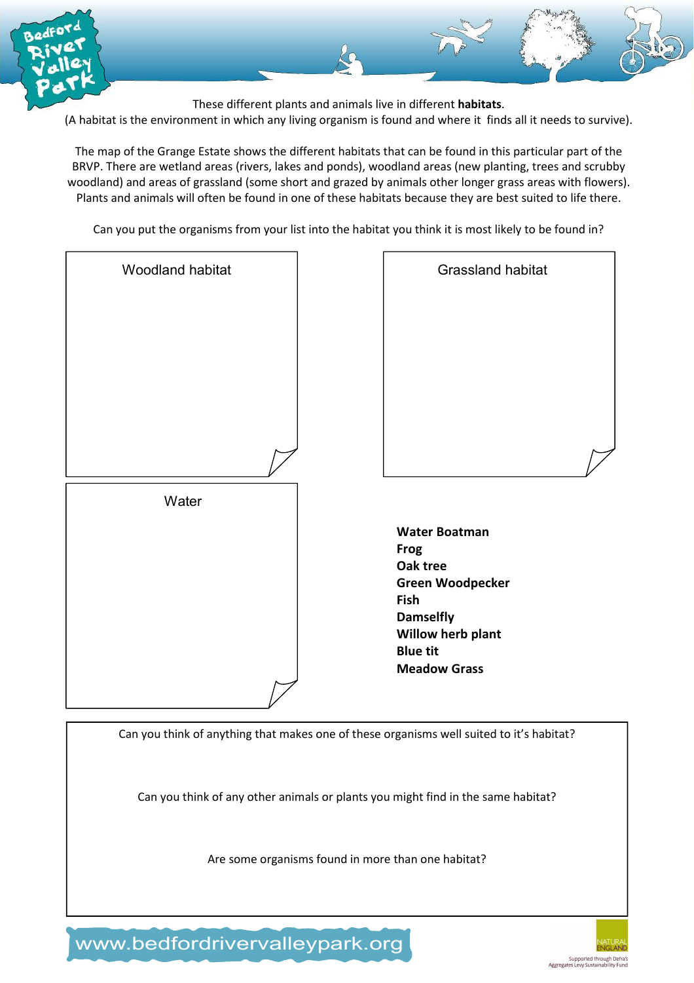

These different plants and animals live in different habitats.

(A habitat is the environment in which any living organism is found and where it finds all it needs to survive).

The map of the Grange Estate shows the different habitats that can be found in this particular part of the BRVP. There are wetland areas (rivers, lakes and ponds), woodland areas (new planting, trees and scrubby woodland) and areas of grassland (some short and grazed by animals other longer grass areas with flowers). Plants and animals will often be found in one of these habitats because they are best suited to life there.

Can you put the organisms from your list into the habitat you think it is most likely to be found in?

| Woodland habitat | Grassland habitat                                                                                                                                                     |
|------------------|-----------------------------------------------------------------------------------------------------------------------------------------------------------------------|
|                  |                                                                                                                                                                       |
|                  |                                                                                                                                                                       |
|                  |                                                                                                                                                                       |
| Water            |                                                                                                                                                                       |
|                  | <b>Water Boatman</b><br><b>Frog</b><br>Oak tree<br><b>Green Woodpecker</b><br>Fish<br><b>Damselfly</b><br>Willow herb plant<br><b>Blue tit</b><br><b>Meadow Grass</b> |
|                  |                                                                                                                                                                       |

Can you think of anything that makes one of these organisms well suited to it's habitat?

Can you think of any other animals or plants you might find in the same habitat?

Are some organisms found in more than one habitat?

www.bedfordrivervalleypark.org